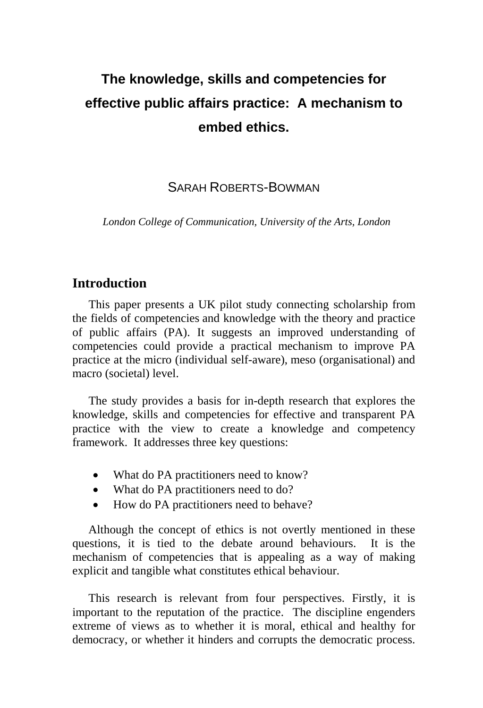# **The knowledge, skills and competencies for effective public affairs practice: A mechanism to embed ethics.**

# SARAH ROBERTS-BOWMAN

*London College of Communication, University of the Arts, London*

# **Introduction**

This paper presents a UK pilot study connecting scholarship from the fields of competencies and knowledge with the theory and practice of public affairs (PA). It suggests an improved understanding of competencies could provide a practical mechanism to improve PA practice at the micro (individual self-aware), meso (organisational) and macro (societal) level.

The study provides a basis for in-depth research that explores the knowledge, skills and competencies for effective and transparent PA practice with the view to create a knowledge and competency framework. It addresses three key questions:

- What do PA practitioners need to know?
- What do PA practitioners need to do?
- How do PA practitioners need to behave?

Although the concept of ethics is not overtly mentioned in these questions, it is tied to the debate around behaviours. It is the mechanism of competencies that is appealing as a way of making explicit and tangible what constitutes ethical behaviour.

This research is relevant from four perspectives. Firstly, it is important to the reputation of the practice. The discipline engenders extreme of views as to whether it is moral, ethical and healthy for democracy, or whether it hinders and corrupts the democratic process.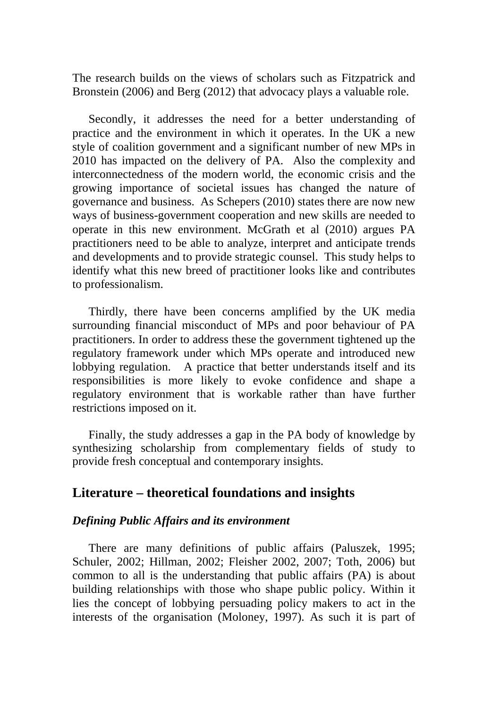The research builds on the views of scholars such as Fitzpatrick and Bronstein (2006) and Berg (2012) that advocacy plays a valuable role.

Secondly, it addresses the need for a better understanding of practice and the environment in which it operates. In the UK a new style of coalition government and a significant number of new MPs in 2010 has impacted on the delivery of PA. Also the complexity and interconnectedness of the modern world, the economic crisis and the growing importance of societal issues has changed the nature of governance and business. As Schepers (2010) states there are now new ways of business-government cooperation and new skills are needed to operate in this new environment. McGrath et al (2010) argues PA practitioners need to be able to analyze, interpret and anticipate trends and developments and to provide strategic counsel. This study helps to identify what this new breed of practitioner looks like and contributes to professionalism.

Thirdly, there have been concerns amplified by the UK media surrounding financial misconduct of MPs and poor behaviour of PA practitioners. In order to address these the government tightened up the regulatory framework under which MPs operate and introduced new lobbying regulation. A practice that better understands itself and its responsibilities is more likely to evoke confidence and shape a regulatory environment that is workable rather than have further restrictions imposed on it.

Finally, the study addresses a gap in the PA body of knowledge by synthesizing scholarship from complementary fields of study to provide fresh conceptual and contemporary insights.

# **Literature – theoretical foundations and insights**

#### *Defining Public Affairs and its environment*

There are many definitions of public affairs (Paluszek, 1995; Schuler, 2002; Hillman, 2002; Fleisher 2002, 2007; Toth, 2006) but common to all is the understanding that public affairs (PA) is about building relationships with those who shape public policy. Within it lies the concept of lobbying persuading policy makers to act in the interests of the organisation (Moloney, 1997). As such it is part of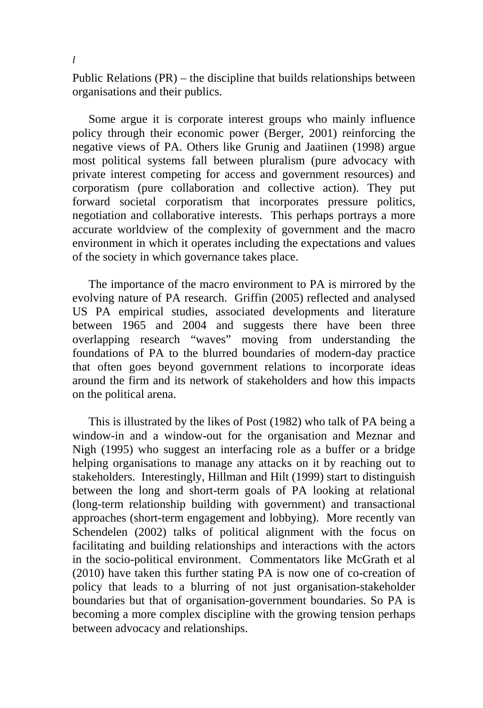Public Relations (PR) – the discipline that builds relationships between organisations and their publics.

Some argue it is corporate interest groups who mainly influence policy through their economic power (Berger, 2001) reinforcing the negative views of PA. Others like Grunig and Jaatiinen (1998) argue most political systems fall between pluralism (pure advocacy with private interest competing for access and government resources) and corporatism (pure collaboration and collective action). They put forward societal corporatism that incorporates pressure politics, negotiation and collaborative interests. This perhaps portrays a more accurate worldview of the complexity of government and the macro environment in which it operates including the expectations and values of the society in which governance takes place.

The importance of the macro environment to PA is mirrored by the evolving nature of PA research. Griffin (2005) reflected and analysed US PA empirical studies, associated developments and literature between 1965 and 2004 and suggests there have been three overlapping research "waves" moving from understanding the foundations of PA to the blurred boundaries of modern-day practice that often goes beyond government relations to incorporate ideas around the firm and its network of stakeholders and how this impacts on the political arena.

This is illustrated by the likes of Post (1982) who talk of PA being a window-in and a window-out for the organisation and Meznar and Nigh (1995) who suggest an interfacing role as a buffer or a bridge helping organisations to manage any attacks on it by reaching out to stakeholders. Interestingly, Hillman and Hilt (1999) start to distinguish between the long and short-term goals of PA looking at relational (long-term relationship building with government) and transactional approaches (short-term engagement and lobbying). More recently van Schendelen (2002) talks of political alignment with the focus on facilitating and building relationships and interactions with the actors in the socio-political environment. Commentators like McGrath et al (2010) have taken this further stating PA is now one of co-creation of policy that leads to a blurring of not just organisation-stakeholder boundaries but that of organisation-government boundaries. So PA is becoming a more complex discipline with the growing tension perhaps between advocacy and relationships.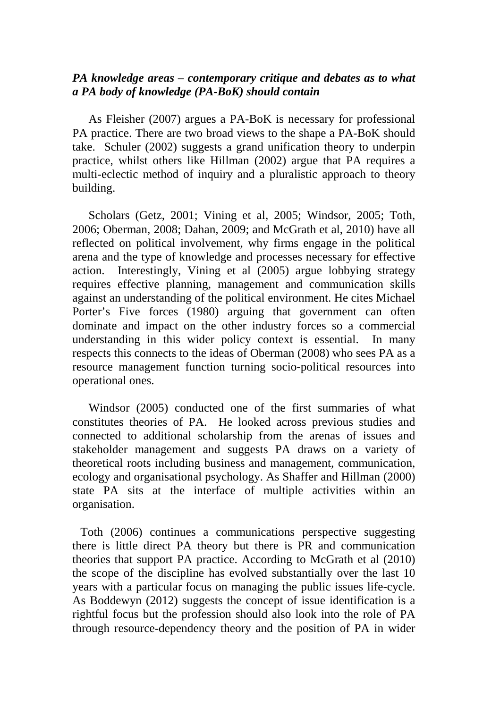# *PA knowledge areas – contemporary critique and debates as to what a PA body of knowledge (PA-BoK) should contain*

As Fleisher (2007) argues a PA-BoK is necessary for professional PA practice. There are two broad views to the shape a PA-BoK should take. Schuler (2002) suggests a grand unification theory to underpin practice, whilst others like Hillman (2002) argue that PA requires a multi-eclectic method of inquiry and a pluralistic approach to theory building.

Scholars (Getz, 2001; Vining et al, 2005; Windsor, 2005; Toth, 2006; Oberman, 2008; Dahan, 2009; and McGrath et al, 2010) have all reflected on political involvement, why firms engage in the political arena and the type of knowledge and processes necessary for effective action. Interestingly, Vining et al (2005) argue lobbying strategy requires effective planning, management and communication skills against an understanding of the political environment. He cites Michael Porter's Five forces (1980) arguing that government can often dominate and impact on the other industry forces so a commercial understanding in this wider policy context is essential. In many respects this connects to the ideas of Oberman (2008) who sees PA as a resource management function turning socio-political resources into operational ones.

Windsor (2005) conducted one of the first summaries of what constitutes theories of PA. He looked across previous studies and connected to additional scholarship from the arenas of issues and stakeholder management and suggests PA draws on a variety of theoretical roots including business and management, communication, ecology and organisational psychology. As Shaffer and Hillman (2000) state PA sits at the interface of multiple activities within an organisation.

Toth (2006) continues a communications perspective suggesting there is little direct PA theory but there is PR and communication theories that support PA practice. According to McGrath et al (2010) the scope of the discipline has evolved substantially over the last 10 years with a particular focus on managing the public issues life-cycle. As Boddewyn (2012) suggests the concept of issue identification is a rightful focus but the profession should also look into the role of PA through resource-dependency theory and the position of PA in wider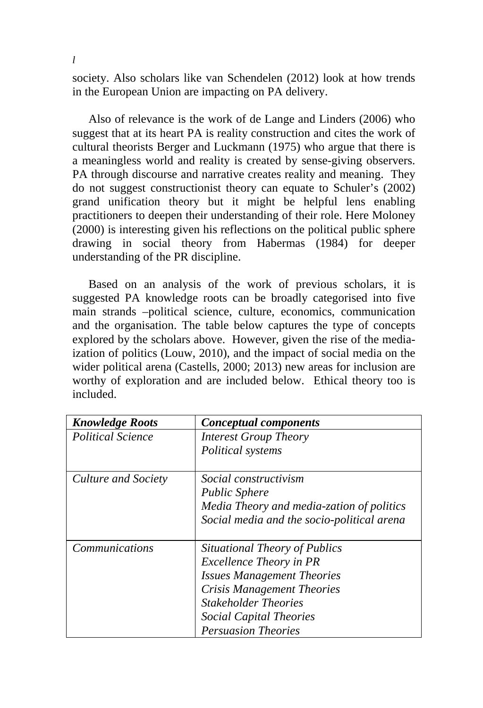society. Also scholars like van Schendelen (2012) look at how trends in the European Union are impacting on PA delivery.

Also of relevance is the work of de Lange and Linders (2006) who suggest that at its heart PA is reality construction and cites the work of cultural theorists Berger and Luckmann (1975) who argue that there is a meaningless world and reality is created by sense-giving observers. PA through discourse and narrative creates reality and meaning. They do not suggest constructionist theory can equate to Schuler's (2002) grand unification theory but it might be helpful lens enabling practitioners to deepen their understanding of their role. Here Moloney (2000) is interesting given his reflections on the political public sphere drawing in social theory from Habermas (1984) for deeper understanding of the PR discipline.

Based on an analysis of the work of previous scholars, it is suggested PA knowledge roots can be broadly categorised into five main strands –political science, culture, economics, communication and the organisation. The table below captures the type of concepts explored by the scholars above. However, given the rise of the mediaization of politics (Louw, 2010), and the impact of social media on the wider political arena (Castells, 2000; 2013) new areas for inclusion are worthy of exploration and are included below. Ethical theory too is included.

| <b>Knowledge Roots</b>   | Conceptual components                      |  |
|--------------------------|--------------------------------------------|--|
| <b>Political Science</b> | <b>Interest Group Theory</b>               |  |
|                          | Political systems                          |  |
| Culture and Society      | <i>Social constructivism</i>               |  |
|                          | <b>Public Sphere</b>                       |  |
|                          | Media Theory and media-zation of politics  |  |
|                          | Social media and the socio-political arena |  |
|                          |                                            |  |
| <i>Communications</i>    | Situational Theory of Publics              |  |
|                          | <b>Excellence Theory in PR</b>             |  |
|                          | <b>Issues Management Theories</b>          |  |
|                          | Crisis Management Theories                 |  |
|                          | <b>Stakeholder Theories</b>                |  |
|                          | <b>Social Capital Theories</b>             |  |
|                          | <b>Persuasion Theories</b>                 |  |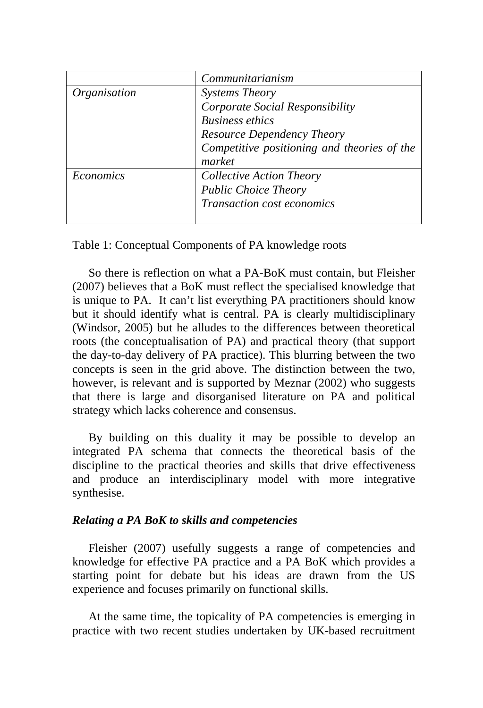|                            | Communitarianism                            |
|----------------------------|---------------------------------------------|
| <i><b>Organisation</b></i> | <b>Systems Theory</b>                       |
|                            | Corporate Social Responsibility             |
|                            | <b>Business ethics</b>                      |
|                            | Resource Dependency Theory                  |
|                            | Competitive positioning and theories of the |
|                            | market                                      |
| <i>Economics</i>           | Collective Action Theory                    |
|                            | <b>Public Choice Theory</b>                 |
|                            | Transaction cost economics                  |
|                            |                                             |

Table 1: Conceptual Components of PA knowledge roots

So there is reflection on what a PA-BoK must contain, but Fleisher (2007) believes that a BoK must reflect the specialised knowledge that is unique to PA. It can't list everything PA practitioners should know but it should identify what is central. PA is clearly multidisciplinary (Windsor, 2005) but he alludes to the differences between theoretical roots (the conceptualisation of PA) and practical theory (that support the day-to-day delivery of PA practice). This blurring between the two concepts is seen in the grid above. The distinction between the two, however, is relevant and is supported by Meznar (2002) who suggests that there is large and disorganised literature on PA and political strategy which lacks coherence and consensus.

By building on this duality it may be possible to develop an integrated PA schema that connects the theoretical basis of the discipline to the practical theories and skills that drive effectiveness and produce an interdisciplinary model with more integrative synthesise.

# *Relating a PA BoK to skills and competencies*

Fleisher (2007) usefully suggests a range of competencies and knowledge for effective PA practice and a PA BoK which provides a starting point for debate but his ideas are drawn from the US experience and focuses primarily on functional skills.

At the same time, the topicality of PA competencies is emerging in practice with two recent studies undertaken by UK-based recruitment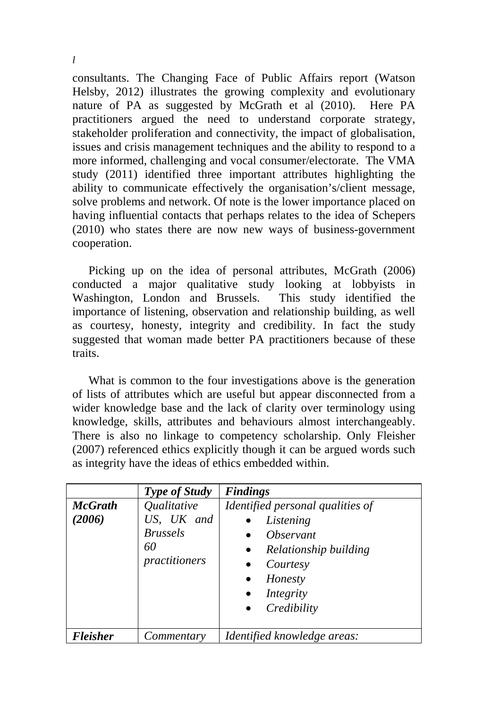consultants. The Changing Face of Public Affairs report (Watson Helsby, 2012) illustrates the growing complexity and evolutionary nature of PA as suggested by McGrath et al (2010). Here PA practitioners argued the need to understand corporate strategy, stakeholder proliferation and connectivity, the impact of globalisation, issues and crisis management techniques and the ability to respond to a more informed, challenging and vocal consumer/electorate. The VMA study (2011) identified three important attributes highlighting the ability to communicate effectively the organisation's/client message, solve problems and network. Of note is the lower importance placed on having influential contacts that perhaps relates to the idea of Schepers (2010) who states there are now new ways of business-government cooperation.

Picking up on the idea of personal attributes, McGrath (2006) conducted a major qualitative study looking at lobbyists in Washington, London and Brussels. This study identified the importance of listening, observation and relationship building, as well as courtesy, honesty, integrity and credibility. In fact the study suggested that woman made better PA practitioners because of these traits.

What is common to the four investigations above is the generation of lists of attributes which are useful but appear disconnected from a wider knowledge base and the lack of clarity over terminology using knowledge, skills, attributes and behaviours almost interchangeably. There is also no linkage to competency scholarship. Only Fleisher (2007) referenced ethics explicitly though it can be argued words such as integrity have the ideas of ethics embedded within.

|                          | Type of Study                                                                            | <b>Findings</b>                                                                                                                 |
|--------------------------|------------------------------------------------------------------------------------------|---------------------------------------------------------------------------------------------------------------------------------|
| <b>McGrath</b><br>(2006) | <i><u><b>Oualitative</b></u></i><br>US, UK and<br><b>Brussels</b><br>60<br>practitioners | Identified personal qualities of<br>Listening<br><i><b>Observant</b></i><br>٠<br>Relationship building<br>$\bullet$<br>Courtesy |
|                          |                                                                                          | Honesty<br>$\bullet$<br>Integrity<br>٠<br>Credibility                                                                           |
| Fleisher                 | Commentary                                                                               | Identified knowledge areas:                                                                                                     |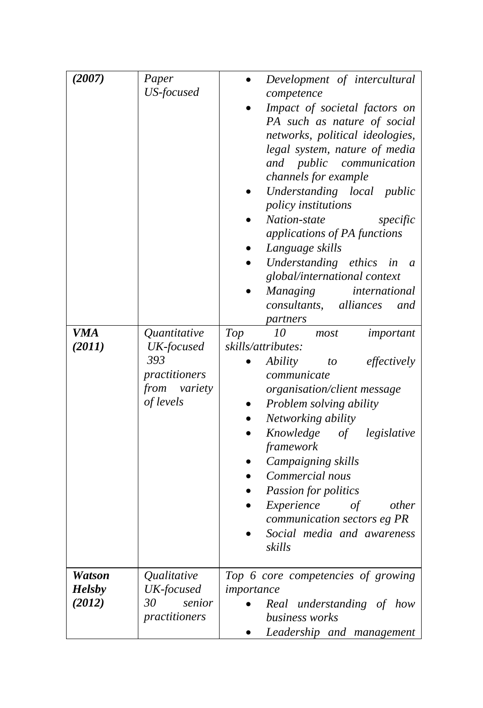| (2007)<br><b>VMA</b><br>(2011)           | Paper<br>US-focused<br>Quantitative<br>UK-focused<br>393<br>practitioners<br>from variety<br>of levels | Development of intercultural<br>competence<br>Impact of societal factors on<br>PA such as nature of social<br>networks, political ideologies,<br>legal system, nature of media<br>communication<br>and public<br>channels for example<br>Understanding local public<br>policy institutions<br>Nation-state<br>specific<br>applications of PA functions<br>Language skills<br>Understanding ethics<br>in<br>$\mathfrak{a}$<br>global/international context<br><b>Managing</b><br>international<br>consultants, alliances<br>and<br>partners<br>Top<br>10<br>important<br>most<br>skills/attributes:<br><i>Ability</i><br>to<br>effectively<br>$\bullet$<br>communicate<br>organisation/client message<br>Problem solving ability<br>Networking ability<br>Knowledge of legislative<br>framework<br>Campaigning skills<br>Commercial nous<br>Passion for politics<br>Experience<br>$\sigma f$<br>other<br>communication sectors eg PR<br>Social media and awareness<br>skills |
|------------------------------------------|--------------------------------------------------------------------------------------------------------|-----------------------------------------------------------------------------------------------------------------------------------------------------------------------------------------------------------------------------------------------------------------------------------------------------------------------------------------------------------------------------------------------------------------------------------------------------------------------------------------------------------------------------------------------------------------------------------------------------------------------------------------------------------------------------------------------------------------------------------------------------------------------------------------------------------------------------------------------------------------------------------------------------------------------------------------------------------------------------|
|                                          |                                                                                                        |                                                                                                                                                                                                                                                                                                                                                                                                                                                                                                                                                                                                                                                                                                                                                                                                                                                                                                                                                                             |
| <b>Watson</b><br><b>Helsby</b><br>(2012) | Qualitative<br>UK-focused<br>30<br>senior<br>practitioners                                             | Top 6 core competencies of growing<br>importance<br>Real understanding of how<br>business works<br>Leadership and management                                                                                                                                                                                                                                                                                                                                                                                                                                                                                                                                                                                                                                                                                                                                                                                                                                                |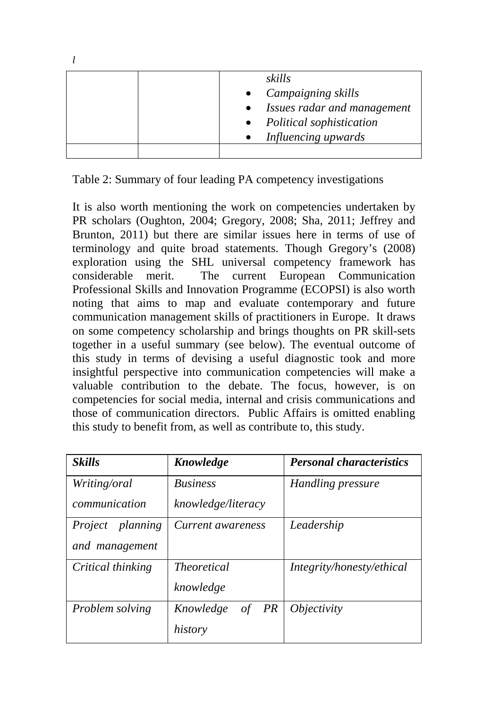|  | $\bullet$ | skills<br>Campaigning skills<br>Issues radar and management<br>• Political sophistication<br>Influencing upwards |
|--|-----------|------------------------------------------------------------------------------------------------------------------|
|  |           |                                                                                                                  |

Table 2: Summary of four leading PA competency investigations

*l*

It is also worth mentioning the work on competencies undertaken by PR scholars (Oughton, 2004; Gregory, 2008; Sha, 2011; Jeffrey and Brunton, 2011) but there are similar issues here in terms of use of terminology and quite broad statements. Though Gregory's (2008) exploration using the SHL universal competency framework has considerable merit. The current European Communication Professional Skills and Innovation Programme (ECOPSI) is also worth noting that aims to map and evaluate contemporary and future communication management skills of practitioners in Europe. It draws on some competency scholarship and brings thoughts on PR skill-sets together in a useful summary (see below). The eventual outcome of this study in terms of devising a useful diagnostic took and more insightful perspective into communication competencies will make a valuable contribution to the debate. The focus, however, is on competencies for social media, internal and crisis communications and those of communication directors. Public Affairs is omitted enabling this study to benefit from, as well as contribute to, this study.

| <b>Skills</b>           | <b>Knowledge</b>      | <b>Personal characteristics</b> |
|-------------------------|-----------------------|---------------------------------|
| Writing/oral            | <b>Business</b>       | Handling pressure               |
| communication           | knowledge/literacy    |                                 |
| <i>Project planning</i> | Current awareness     | Leadership                      |
| and management          |                       |                                 |
| Critical thinking       | <i>Theoretical</i>    | Integrity/honesty/ethical       |
|                         | knowledge             |                                 |
| Problem solving         | Knowledge<br>PR<br>οf | <i>Objectivity</i>              |
|                         | history               |                                 |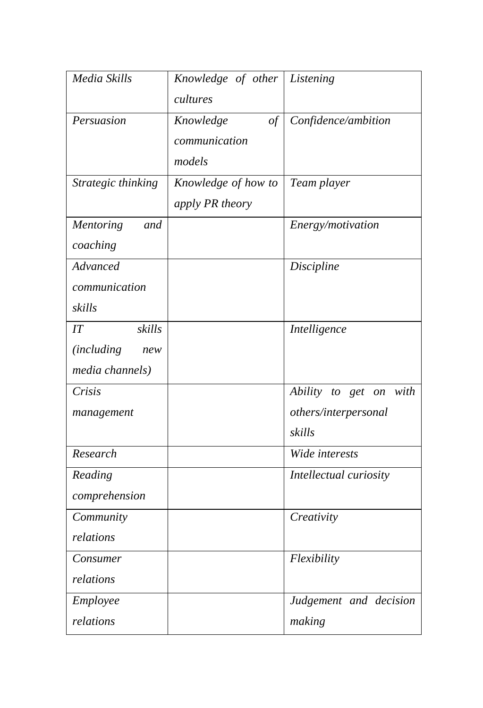| Media Skills              | Knowledge of other Listening |                        |
|---------------------------|------------------------------|------------------------|
|                           | cultures                     |                        |
| Persuasion                | Knowledge<br>of              | Confidence/ambition    |
|                           | communication                |                        |
|                           | models                       |                        |
| Strategic thinking        | Knowledge of how to          | Team player            |
|                           | apply PR theory              |                        |
| <b>Mentoring</b><br>and   |                              | Energy/motivation      |
| coaching                  |                              |                        |
| Advanced                  |                              | Discipline             |
| communication             |                              |                        |
| skills                    |                              |                        |
| skills<br>IT              |                              | Intelligence           |
| <i>(including)</i><br>new |                              |                        |
| media channels)           |                              |                        |
| Crisis                    |                              | Ability to get on with |
| management                |                              | others/interpersonal   |
|                           |                              | skills                 |
| Research                  |                              | Wide interests         |
| Reading                   |                              | Intellectual curiosity |
| comprehension             |                              |                        |
| Community                 |                              | Creativity             |
| relations                 |                              |                        |
| Consumer                  |                              | Flexibility            |
| relations                 |                              |                        |
| Employee                  |                              | Judgement and decision |
| relations                 |                              | making                 |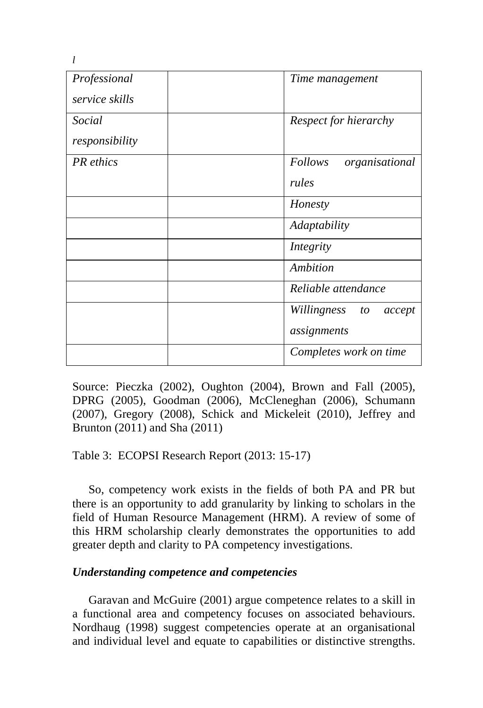| Professional<br>service skills | Time management                            |
|--------------------------------|--------------------------------------------|
| Social<br>responsibility       | Respect for hierarchy                      |
| PR ethics                      | <b>Follows</b><br>organisational<br>rules  |
|                                | Honesty                                    |
|                                | Adaptability                               |
|                                | Integrity                                  |
|                                | Ambition                                   |
|                                | Reliable attendance                        |
|                                | Willingness<br>accept<br>to<br>assignments |
|                                | Completes work on time                     |

Source: Pieczka (2002), Oughton (2004), Brown and Fall (2005), DPRG (2005), Goodman (2006), McCleneghan (2006), Schumann (2007), Gregory (2008), Schick and Mickeleit (2010), Jeffrey and Brunton (2011) and Sha (2011)

Table 3: ECOPSI Research Report (2013: 15-17)

So, competency work exists in the fields of both PA and PR but there is an opportunity to add granularity by linking to scholars in the field of Human Resource Management (HRM). A review of some of this HRM scholarship clearly demonstrates the opportunities to add greater depth and clarity to PA competency investigations.

#### *Understanding competence and competencies*

Garavan and McGuire (2001) argue competence relates to a skill in a functional area and competency focuses on associated behaviours. Nordhaug (1998) suggest competencies operate at an organisational and individual level and equate to capabilities or distinctive strengths.

*l*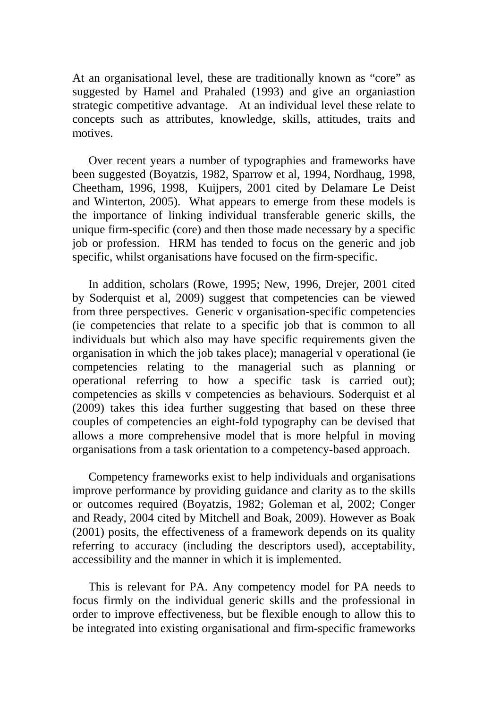At an organisational level, these are traditionally known as "core" as suggested by Hamel and Prahaled (1993) and give an organiastion strategic competitive advantage. At an individual level these relate to concepts such as attributes, knowledge, skills, attitudes, traits and motives.

Over recent years a number of typographies and frameworks have been suggested (Boyatzis, 1982, Sparrow et al, 1994, Nordhaug, 1998, Cheetham, 1996, 1998, Kuijpers, 2001 cited by Delamare Le Deist and Winterton, 2005). What appears to emerge from these models is the importance of linking individual transferable generic skills, the unique firm-specific (core) and then those made necessary by a specific job or profession. HRM has tended to focus on the generic and job specific, whilst organisations have focused on the firm-specific.

In addition, scholars (Rowe, 1995; New, 1996, Drejer, 2001 cited by Soderquist et al, 2009) suggest that competencies can be viewed from three perspectives. Generic v organisation-specific competencies (ie competencies that relate to a specific job that is common to all individuals but which also may have specific requirements given the organisation in which the job takes place); managerial v operational (ie competencies relating to the managerial such as planning or operational referring to how a specific task is carried out); competencies as skills v competencies as behaviours. Soderquist et al (2009) takes this idea further suggesting that based on these three couples of competencies an eight-fold typography can be devised that allows a more comprehensive model that is more helpful in moving organisations from a task orientation to a competency-based approach.

Competency frameworks exist to help individuals and organisations improve performance by providing guidance and clarity as to the skills or outcomes required (Boyatzis, 1982; Goleman et al, 2002; Conger and Ready, 2004 cited by Mitchell and Boak, 2009). However as Boak (2001) posits, the effectiveness of a framework depends on its quality referring to accuracy (including the descriptors used), acceptability, accessibility and the manner in which it is implemented.

This is relevant for PA. Any competency model for PA needs to focus firmly on the individual generic skills and the professional in order to improve effectiveness, but be flexible enough to allow this to be integrated into existing organisational and firm-specific frameworks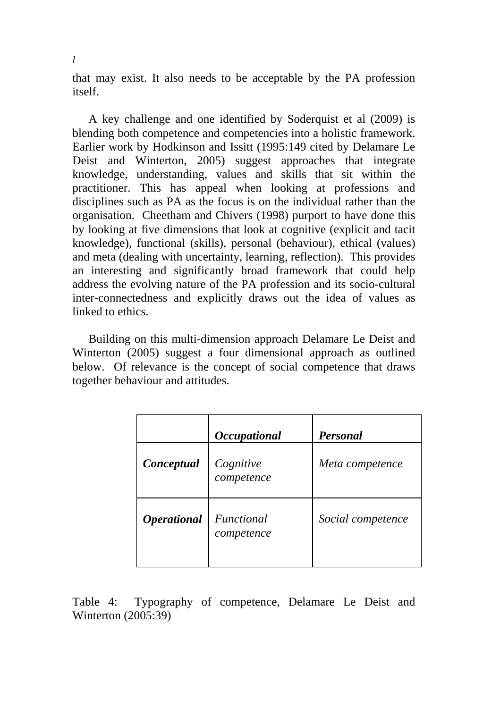that may exist. It also needs to be acceptable by the PA profession itself.

A key challenge and one identified by Soderquist et al (2009) is blending both competence and competencies into a holistic framework. Earlier work by Hodkinson and Issitt (1995:149 cited by Delamare Le Deist and Winterton, 2005) suggest approaches that integrate knowledge, understanding, values and skills that sit within the practitioner. This has appeal when looking at professions and disciplines such as PA as the focus is on the individual rather than the organisation. Cheetham and Chivers (1998) purport to have done this by looking at five dimensions that look at cognitive (explicit and tacit knowledge), functional (skills), personal (behaviour), ethical (values) and meta (dealing with uncertainty, learning, reflection). This provides an interesting and significantly broad framework that could help address the evolving nature of the PA profession and its socio-cultural inter-connectedness and explicitly draws out the idea of values as linked to ethics.

Building on this multi-dimension approach Delamare Le Deist and Winterton (2005) suggest a four dimensional approach as outlined below. Of relevance is the concept of social competence that draws together behaviour and attitudes.

|                    | <b>Occupational</b>      | <b>Personal</b>   |
|--------------------|--------------------------|-------------------|
| Conceptual         | Cognitive<br>competence  | Meta competence   |
| <b>Operational</b> | Functional<br>competence | Social competence |

Table 4: Typography of competence, Delamare Le Deist and Winterton (2005:39)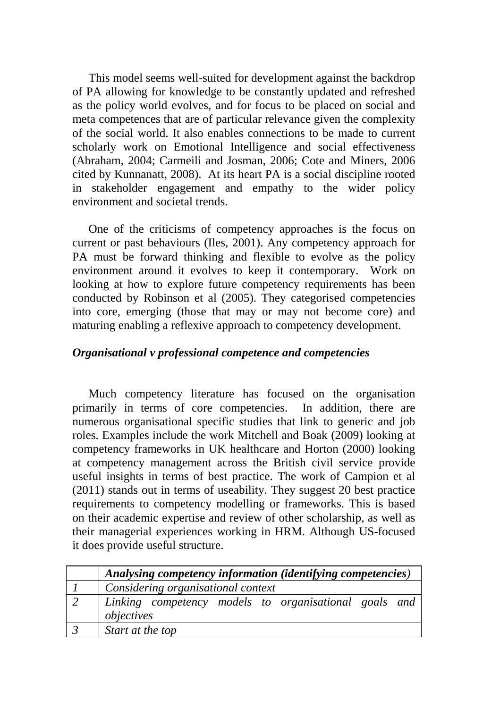This model seems well-suited for development against the backdrop of PA allowing for knowledge to be constantly updated and refreshed as the policy world evolves, and for focus to be placed on social and meta competences that are of particular relevance given the complexity of the social world. It also enables connections to be made to current scholarly work on Emotional Intelligence and social effectiveness (Abraham, 2004; Carmeili and Josman, 2006; Cote and Miners, 2006 cited by Kunnanatt, 2008). At its heart PA is a social discipline rooted in stakeholder engagement and empathy to the wider policy environment and societal trends.

One of the criticisms of competency approaches is the focus on current or past behaviours (Iles, 2001). Any competency approach for PA must be forward thinking and flexible to evolve as the policy environment around it evolves to keep it contemporary. Work on looking at how to explore future competency requirements has been conducted by Robinson et al (2005). They categorised competencies into core, emerging (those that may or may not become core) and maturing enabling a reflexive approach to competency development.

#### *Organisational v professional competence and competencies*

Much competency literature has focused on the organisation primarily in terms of core competencies. In addition, there are numerous organisational specific studies that link to generic and job roles. Examples include the work Mitchell and Boak (2009) looking at competency frameworks in UK healthcare and Horton (2000) looking at competency management across the British civil service provide useful insights in terms of best practice. The work of Campion et al (2011) stands out in terms of useability. They suggest 20 best practice requirements to competency modelling or frameworks. This is based on their academic expertise and review of other scholarship, as well as their managerial experiences working in HRM. Although US-focused it does provide useful structure.

| Analysing competency information (identifying competencies)         |
|---------------------------------------------------------------------|
| Considering organisational context                                  |
| Linking competency models to organisational goals and<br>objectives |
| Start at the top                                                    |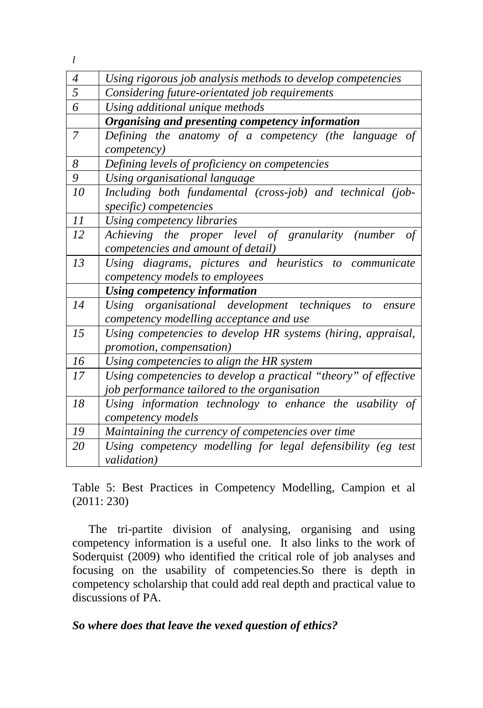*l*

| 4              | Using rigorous job analysis methods to develop competencies     |
|----------------|-----------------------------------------------------------------|
| $\overline{5}$ | Considering future-orientated job requirements                  |
| 6              | Using additional unique methods                                 |
|                | Organising and presenting competency information                |
| $\overline{7}$ | Defining the anatomy of a competency (the language of           |
|                | competency)                                                     |
| 8              | Defining levels of proficiency on competencies                  |
| 9              | Using organisational language                                   |
| 10             | Including both fundamental (cross-job) and technical (job-      |
|                | specific) competencies                                          |
| 11             | Using competency libraries                                      |
| 12             | Achieving the proper level of granularity (number of            |
|                | competencies and amount of detail)                              |
| 13             | Using diagrams, pictures and heuristics to communicate          |
|                | competency models to employees                                  |
|                | <b>Using competency information</b>                             |
| 14             | Using organisational development techniques to ensure           |
|                | competency modelling acceptance and use                         |
| 15             | Using competencies to develop HR systems (hiring, appraisal,    |
|                | promotion, compensation)                                        |
| 16             | Using competencies to align the HR system                       |
| 17             | Using competencies to develop a practical "theory" of effective |
|                | job performance tailored to the organisation                    |
| 18             | Using information technology to enhance the usability of        |
|                | competency models                                               |
| 19             | Maintaining the currency of competencies over time              |
| 20             | Using competency modelling for legal defensibility (eg test     |
|                | <i>validation</i> )                                             |

Table 5: Best Practices in Competency Modelling, Campion et al (2011: 230)

The tri-partite division of analysing, organising and using competency information is a useful one. It also links to the work of Soderquist (2009) who identified the critical role of job analyses and focusing on the usability of competencies.So there is depth in competency scholarship that could add real depth and practical value to discussions of PA.

*So where does that leave the vexed question of ethics?*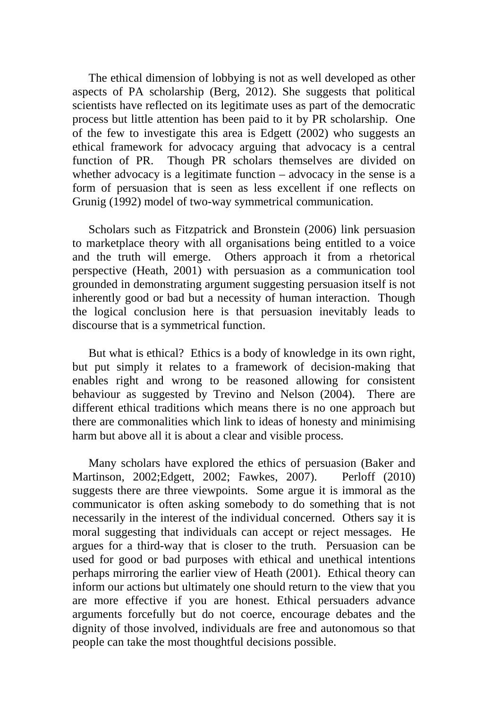The ethical dimension of lobbying is not as well developed as other aspects of PA scholarship (Berg, 2012). She suggests that political scientists have reflected on its legitimate uses as part of the democratic process but little attention has been paid to it by PR scholarship. One of the few to investigate this area is Edgett (2002) who suggests an ethical framework for advocacy arguing that advocacy is a central function of PR. Though PR scholars themselves are divided on whether advocacy is a legitimate function – advocacy in the sense is a form of persuasion that is seen as less excellent if one reflects on Grunig (1992) model of two-way symmetrical communication.

Scholars such as Fitzpatrick and Bronstein (2006) link persuasion to marketplace theory with all organisations being entitled to a voice and the truth will emerge. Others approach it from a rhetorical perspective (Heath, 2001) with persuasion as a communication tool grounded in demonstrating argument suggesting persuasion itself is not inherently good or bad but a necessity of human interaction. Though the logical conclusion here is that persuasion inevitably leads to discourse that is a symmetrical function.

But what is ethical? Ethics is a body of knowledge in its own right, but put simply it relates to a framework of decision-making that enables right and wrong to be reasoned allowing for consistent behaviour as suggested by Trevino and Nelson (2004). There are different ethical traditions which means there is no one approach but there are commonalities which link to ideas of honesty and minimising harm but above all it is about a clear and visible process.

Many scholars have explored the ethics of persuasion (Baker and Martinson, 2002;Edgett, 2002; Fawkes, 2007). Perloff (2010) suggests there are three viewpoints. Some argue it is immoral as the communicator is often asking somebody to do something that is not necessarily in the interest of the individual concerned. Others say it is moral suggesting that individuals can accept or reject messages. He argues for a third-way that is closer to the truth. Persuasion can be used for good or bad purposes with ethical and unethical intentions perhaps mirroring the earlier view of Heath (2001). Ethical theory can inform our actions but ultimately one should return to the view that you are more effective if you are honest. Ethical persuaders advance arguments forcefully but do not coerce, encourage debates and the dignity of those involved, individuals are free and autonomous so that people can take the most thoughtful decisions possible.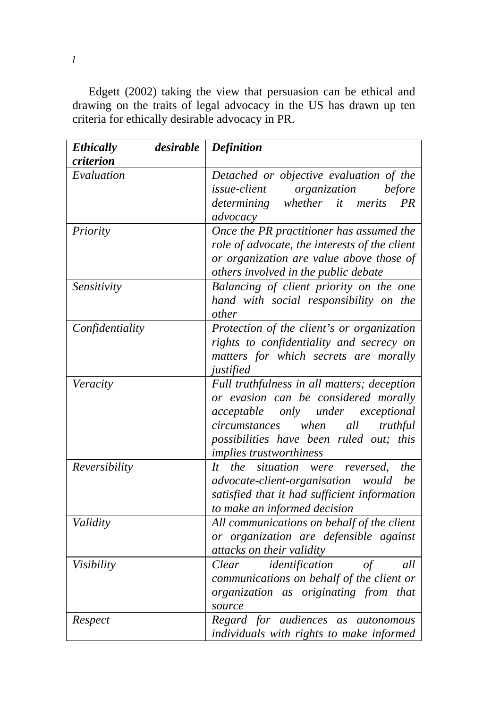Edgett (2002) taking the view that persuasion can be ethical and drawing on the traits of legal advocacy in the US has drawn up ten criteria for ethically desirable advocacy in PR.

| <b>Ethically</b> | desirable | <b>Definition</b>                                                                                                                                                                                                                                    |
|------------------|-----------|------------------------------------------------------------------------------------------------------------------------------------------------------------------------------------------------------------------------------------------------------|
| criterion        |           |                                                                                                                                                                                                                                                      |
| Evaluation       |           | Detached or objective evaluation of the<br><i>issue-client</i> organization<br>before<br>determining whether it merits PR<br>advocacy                                                                                                                |
| Priority         |           | Once the PR practitioner has assumed the<br>role of advocate, the interests of the client<br>or organization are value above those of<br>others involved in the public debate                                                                        |
| Sensitivity      |           | Balancing of client priority on the one<br>hand with social responsibility on the<br>other                                                                                                                                                           |
| Confidentiality  |           | Protection of the client's or organization<br>rights to confidentiality and secrecy on<br>matters for which secrets are morally<br>justified                                                                                                         |
| Veracity         |           | Full truthfulness in all matters; deception<br>or evasion can be considered morally<br>only under exceptional<br>acceptable<br>when<br>all<br>circumstances<br>truthful<br>possibilities have been ruled out; this<br><i>implies trustworthiness</i> |
| Reversibility    |           | the situation were reversed,<br>the<br>$H^-$<br>be<br>advocate-client-organisation would<br>satisfied that it had sufficient information<br>to make an informed decision                                                                             |
| Validity         |           | All communications on behalf of the client<br>or organization are defensible against<br>attacks on their validity                                                                                                                                    |
| Visibility       |           | identification<br>Clear<br>all<br>of<br>communications on behalf of the client or<br>organization as originating from that<br>source                                                                                                                 |
| Respect          |           | Regard for audiences as autonomous<br>individuals with rights to make informed                                                                                                                                                                       |

*l*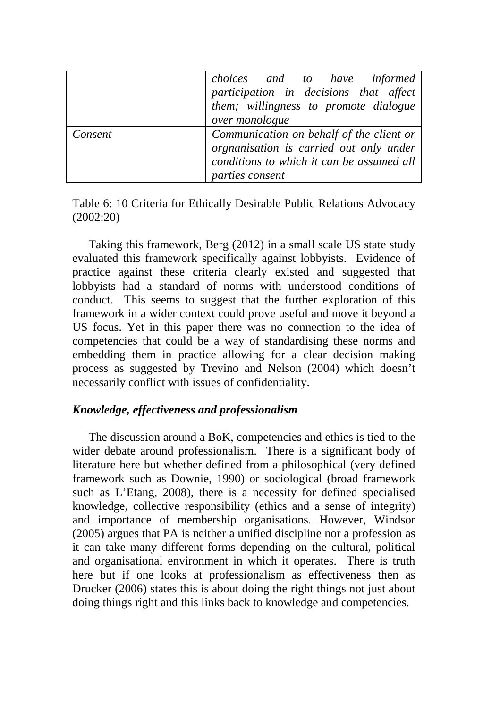|         | choices and to have informed<br>participation in decisions that affect<br>them; willingness to promote dialogue<br>over monologue                   |
|---------|-----------------------------------------------------------------------------------------------------------------------------------------------------|
| Consent | Communication on behalf of the client or<br>orgnanisation is carried out only under<br>conditions to which it can be assumed all<br>parties consent |

Table 6: 10 Criteria for Ethically Desirable Public Relations Advocacy (2002:20)

Taking this framework, Berg (2012) in a small scale US state study evaluated this framework specifically against lobbyists. Evidence of practice against these criteria clearly existed and suggested that lobbyists had a standard of norms with understood conditions of conduct. This seems to suggest that the further exploration of this framework in a wider context could prove useful and move it beyond a US focus. Yet in this paper there was no connection to the idea of competencies that could be a way of standardising these norms and embedding them in practice allowing for a clear decision making process as suggested by Trevino and Nelson (2004) which doesn't necessarily conflict with issues of confidentiality.

# *Knowledge, effectiveness and professionalism*

The discussion around a BoK, competencies and ethics is tied to the wider debate around professionalism. There is a significant body of literature here but whether defined from a philosophical (very defined framework such as Downie, 1990) or sociological (broad framework such as L'Etang, 2008), there is a necessity for defined specialised knowledge, collective responsibility (ethics and a sense of integrity) and importance of membership organisations. However, Windsor (2005) argues that PA is neither a unified discipline nor a profession as it can take many different forms depending on the cultural, political and organisational environment in which it operates. There is truth here but if one looks at professionalism as effectiveness then as Drucker (2006) states this is about doing the right things not just about doing things right and this links back to knowledge and competencies.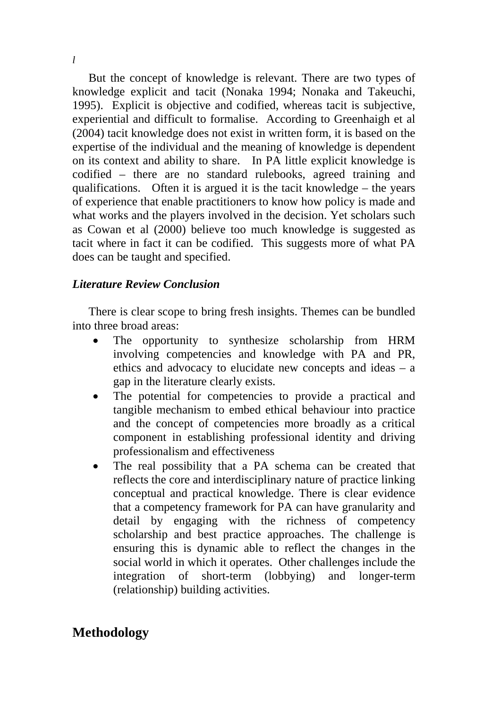But the concept of knowledge is relevant. There are two types of knowledge explicit and tacit (Nonaka 1994; Nonaka and Takeuchi, 1995). Explicit is objective and codified, whereas tacit is subjective, experiential and difficult to formalise. According to Greenhaigh et al (2004) tacit knowledge does not exist in written form, it is based on the expertise of the individual and the meaning of knowledge is dependent on its context and ability to share. In PA little explicit knowledge is codified – there are no standard rulebooks, agreed training and qualifications. Often it is argued it is the tacit knowledge – the years of experience that enable practitioners to know how policy is made and what works and the players involved in the decision. Yet scholars such as Cowan et al (2000) believe too much knowledge is suggested as tacit where in fact it can be codified. This suggests more of what PA does can be taught and specified.

#### *Literature Review Conclusion*

There is clear scope to bring fresh insights. Themes can be bundled into three broad areas:

- The opportunity to synthesize scholarship from HRM involving competencies and knowledge with PA and PR, ethics and advocacy to elucidate new concepts and ideas – a gap in the literature clearly exists.
- The potential for competencies to provide a practical and tangible mechanism to embed ethical behaviour into practice and the concept of competencies more broadly as a critical component in establishing professional identity and driving professionalism and effectiveness
- The real possibility that a PA schema can be created that reflects the core and interdisciplinary nature of practice linking conceptual and practical knowledge. There is clear evidence that a competency framework for PA can have granularity and detail by engaging with the richness of competency scholarship and best practice approaches. The challenge is ensuring this is dynamic able to reflect the changes in the social world in which it operates. Other challenges include the integration of short-term (lobbying) and longer-term (relationship) building activities.

# **Methodology**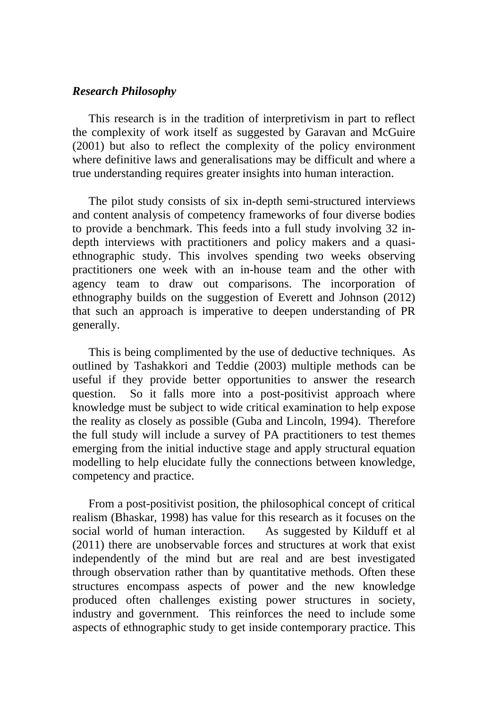#### *Research Philosophy*

This research is in the tradition of interpretivism in part to reflect the complexity of work itself as suggested by Garavan and McGuire (2001) but also to reflect the complexity of the policy environment where definitive laws and generalisations may be difficult and where a true understanding requires greater insights into human interaction.

The pilot study consists of six in-depth semi-structured interviews and content analysis of competency frameworks of four diverse bodies to provide a benchmark. This feeds into a full study involving 32 indepth interviews with practitioners and policy makers and a quasiethnographic study. This involves spending two weeks observing practitioners one week with an in-house team and the other with agency team to draw out comparisons. The incorporation of ethnography builds on the suggestion of Everett and Johnson (2012) that such an approach is imperative to deepen understanding of PR generally.

This is being complimented by the use of deductive techniques. As outlined by Tashakkori and Teddie (2003) multiple methods can be useful if they provide better opportunities to answer the research question. So it falls more into a post-positivist approach where knowledge must be subject to wide critical examination to help expose the reality as closely as possible (Guba and Lincoln, 1994). Therefore the full study will include a survey of PA practitioners to test themes emerging from the initial inductive stage and apply structural equation modelling to help elucidate fully the connections between knowledge, competency and practice.

From a post-positivist position, the philosophical concept of critical realism (Bhaskar, 1998) has value for this research as it focuses on the social world of human interaction. As suggested by Kilduff et al (2011) there are unobservable forces and structures at work that exist independently of the mind but are real and are best investigated through observation rather than by quantitative methods. Often these structures encompass aspects of power and the new knowledge produced often challenges existing power structures in society, industry and government. This reinforces the need to include some aspects of ethnographic study to get inside contemporary practice. This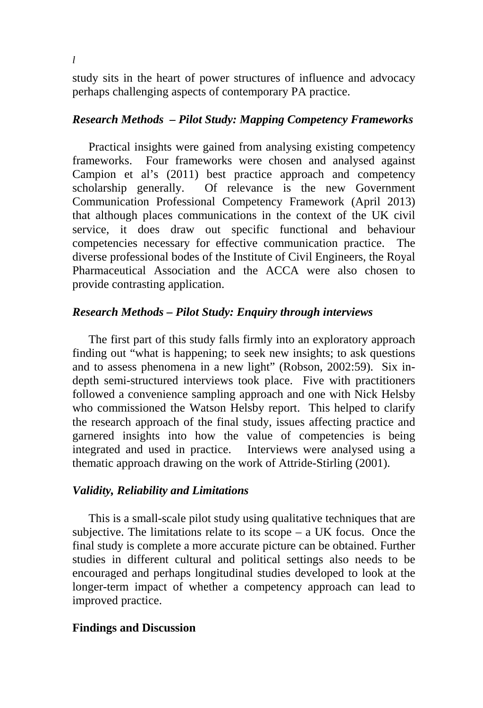study sits in the heart of power structures of influence and advocacy perhaps challenging aspects of contemporary PA practice.

#### *Research Methods – Pilot Study: Mapping Competency Frameworks*

Practical insights were gained from analysing existing competency frameworks. Four frameworks were chosen and analysed against Campion et al's (2011) best practice approach and competency scholarship generally. Of relevance is the new Government Communication Professional Competency Framework (April 2013) that although places communications in the context of the UK civil service, it does draw out specific functional and behaviour competencies necessary for effective communication practice. The diverse professional bodes of the Institute of Civil Engineers, the Royal Pharmaceutical Association and the ACCA were also chosen to provide contrasting application.

#### *Research Methods – Pilot Study: Enquiry through interviews*

The first part of this study falls firmly into an exploratory approach finding out "what is happening; to seek new insights; to ask questions and to assess phenomena in a new light" (Robson, 2002:59). Six indepth semi-structured interviews took place. Five with practitioners followed a convenience sampling approach and one with Nick Helsby who commissioned the Watson Helsby report. This helped to clarify the research approach of the final study, issues affecting practice and garnered insights into how the value of competencies is being integrated and used in practice. Interviews were analysed using a thematic approach drawing on the work of Attride-Stirling (2001).

#### *Validity, Reliability and Limitations*

This is a small-scale pilot study using qualitative techniques that are subjective. The limitations relate to its scope  $-$  a UK focus. Once the final study is complete a more accurate picture can be obtained. Further studies in different cultural and political settings also needs to be encouraged and perhaps longitudinal studies developed to look at the longer-term impact of whether a competency approach can lead to improved practice.

#### **Findings and Discussion**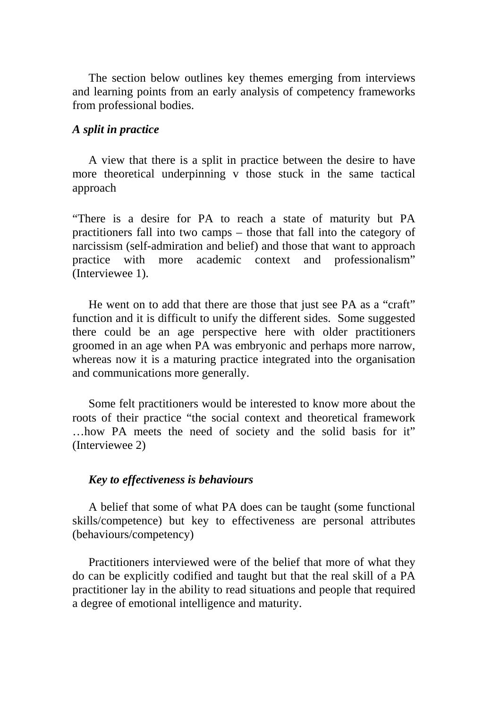The section below outlines key themes emerging from interviews and learning points from an early analysis of competency frameworks from professional bodies.

#### *A split in practice*

A view that there is a split in practice between the desire to have more theoretical underpinning v those stuck in the same tactical approach

"There is a desire for PA to reach a state of maturity but PA practitioners fall into two camps – those that fall into the category of narcissism (self-admiration and belief) and those that want to approach practice with more academic context and professionalism" (Interviewee 1).

He went on to add that there are those that just see PA as a "craft" function and it is difficult to unify the different sides. Some suggested there could be an age perspective here with older practitioners groomed in an age when PA was embryonic and perhaps more narrow, whereas now it is a maturing practice integrated into the organisation and communications more generally.

Some felt practitioners would be interested to know more about the roots of their practice "the social context and theoretical framework …how PA meets the need of society and the solid basis for it" (Interviewee 2)

#### *Key to effectiveness is behaviours*

A belief that some of what PA does can be taught (some functional skills/competence) but key to effectiveness are personal attributes (behaviours/competency)

Practitioners interviewed were of the belief that more of what they do can be explicitly codified and taught but that the real skill of a PA practitioner lay in the ability to read situations and people that required a degree of emotional intelligence and maturity.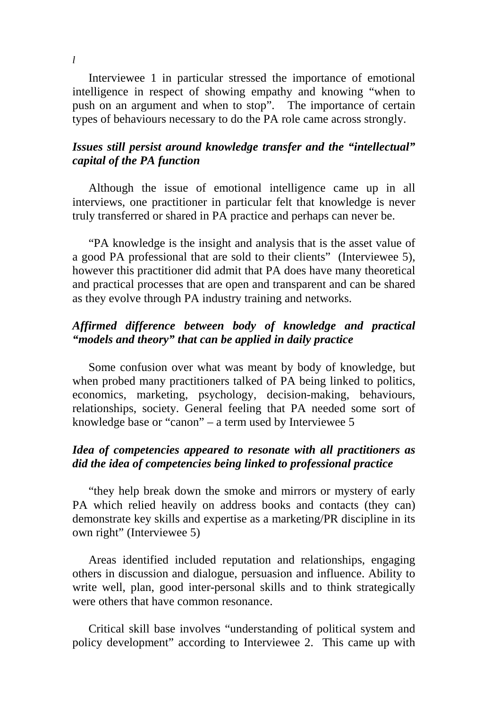Interviewee 1 in particular stressed the importance of emotional intelligence in respect of showing empathy and knowing "when to push on an argument and when to stop". The importance of certain types of behaviours necessary to do the PA role came across strongly.

# *Issues still persist around knowledge transfer and the "intellectual" capital of the PA function*

Although the issue of emotional intelligence came up in all interviews, one practitioner in particular felt that knowledge is never truly transferred or shared in PA practice and perhaps can never be.

"PA knowledge is the insight and analysis that is the asset value of a good PA professional that are sold to their clients" (Interviewee 5), however this practitioner did admit that PA does have many theoretical and practical processes that are open and transparent and can be shared as they evolve through PA industry training and networks.

# *Affirmed difference between body of knowledge and practical "models and theory" that can be applied in daily practice*

Some confusion over what was meant by body of knowledge, but when probed many practitioners talked of PA being linked to politics, economics, marketing, psychology, decision-making, behaviours, relationships, society. General feeling that PA needed some sort of knowledge base or "canon" – a term used by Interviewee 5

# *Idea of competencies appeared to resonate with all practitioners as did the idea of competencies being linked to professional practice*

"they help break down the smoke and mirrors or mystery of early PA which relied heavily on address books and contacts (they can) demonstrate key skills and expertise as a marketing/PR discipline in its own right" (Interviewee 5)

Areas identified included reputation and relationships, engaging others in discussion and dialogue, persuasion and influence. Ability to write well, plan, good inter-personal skills and to think strategically were others that have common resonance.

Critical skill base involves "understanding of political system and policy development" according to Interviewee 2. This came up with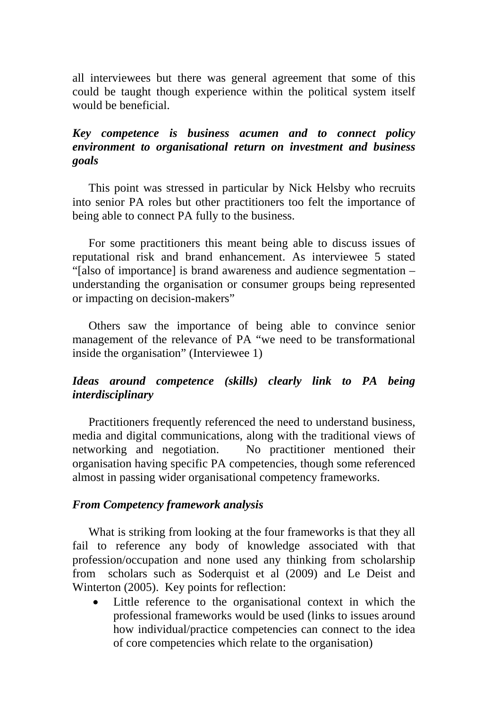all interviewees but there was general agreement that some of this could be taught though experience within the political system itself would be beneficial.

# *Key competence is business acumen and to connect policy environment to organisational return on investment and business goals*

This point was stressed in particular by Nick Helsby who recruits into senior PA roles but other practitioners too felt the importance of being able to connect PA fully to the business.

For some practitioners this meant being able to discuss issues of reputational risk and brand enhancement. As interviewee 5 stated "[also of importance] is brand awareness and audience segmentation – understanding the organisation or consumer groups being represented or impacting on decision-makers"

Others saw the importance of being able to convince senior management of the relevance of PA "we need to be transformational inside the organisation" (Interviewee 1)

# *Ideas around competence (skills) clearly link to PA being interdisciplinary*

Practitioners frequently referenced the need to understand business, media and digital communications, along with the traditional views of networking and negotiation. No practitioner mentioned their organisation having specific PA competencies, though some referenced almost in passing wider organisational competency frameworks.

# *From Competency framework analysis*

What is striking from looking at the four frameworks is that they all fail to reference any body of knowledge associated with that profession/occupation and none used any thinking from scholarship from scholars such as Soderquist et al (2009) and Le Deist and Winterton (2005). Key points for reflection:

Little reference to the organisational context in which the professional frameworks would be used (links to issues around how individual/practice competencies can connect to the idea of core competencies which relate to the organisation)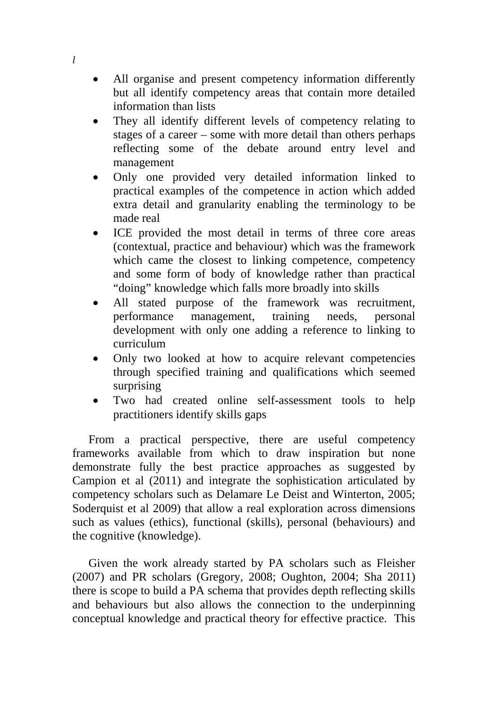All organise and present competency information differently but all identify competency areas that contain more detailed information than lists

*l*

- They all identify different levels of competency relating to stages of a career – some with more detail than others perhaps reflecting some of the debate around entry level and management
- Only one provided very detailed information linked to practical examples of the competence in action which added extra detail and granularity enabling the terminology to be made real
- ICE provided the most detail in terms of three core areas (contextual, practice and behaviour) which was the framework which came the closest to linking competence, competency and some form of body of knowledge rather than practical "doing" knowledge which falls more broadly into skills
- All stated purpose of the framework was recruitment, performance management, training needs, personal development with only one adding a reference to linking to curriculum
- Only two looked at how to acquire relevant competencies through specified training and qualifications which seemed surprising
- Two had created online self-assessment tools to help practitioners identify skills gaps

From a practical perspective, there are useful competency frameworks available from which to draw inspiration but none demonstrate fully the best practice approaches as suggested by Campion et al (2011) and integrate the sophistication articulated by competency scholars such as Delamare Le Deist and Winterton, 2005; Soderquist et al 2009) that allow a real exploration across dimensions such as values (ethics), functional (skills), personal (behaviours) and the cognitive (knowledge).

Given the work already started by PA scholars such as Fleisher (2007) and PR scholars (Gregory, 2008; Oughton, 2004; Sha 2011) there is scope to build a PA schema that provides depth reflecting skills and behaviours but also allows the connection to the underpinning conceptual knowledge and practical theory for effective practice. This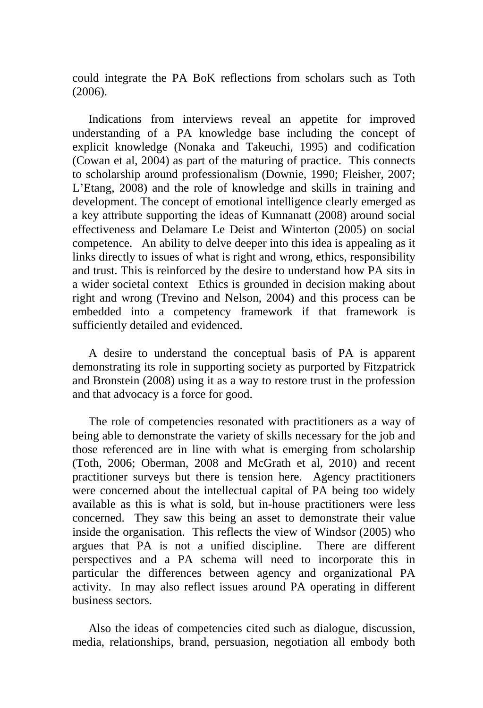could integrate the PA BoK reflections from scholars such as Toth (2006).

Indications from interviews reveal an appetite for improved understanding of a PA knowledge base including the concept of explicit knowledge (Nonaka and Takeuchi, 1995) and codification (Cowan et al, 2004) as part of the maturing of practice. This connects to scholarship around professionalism (Downie, 1990; Fleisher, 2007; L'Etang, 2008) and the role of knowledge and skills in training and development. The concept of emotional intelligence clearly emerged as a key attribute supporting the ideas of Kunnanatt (2008) around social effectiveness and Delamare Le Deist and Winterton (2005) on social competence. An ability to delve deeper into this idea is appealing as it links directly to issues of what is right and wrong, ethics, responsibility and trust. This is reinforced by the desire to understand how PA sits in a wider societal context Ethics is grounded in decision making about right and wrong (Trevino and Nelson, 2004) and this process can be embedded into a competency framework if that framework is sufficiently detailed and evidenced.

A desire to understand the conceptual basis of PA is apparent demonstrating its role in supporting society as purported by Fitzpatrick and Bronstein (2008) using it as a way to restore trust in the profession and that advocacy is a force for good.

The role of competencies resonated with practitioners as a way of being able to demonstrate the variety of skills necessary for the job and those referenced are in line with what is emerging from scholarship (Toth, 2006; Oberman, 2008 and McGrath et al, 2010) and recent practitioner surveys but there is tension here. Agency practitioners were concerned about the intellectual capital of PA being too widely available as this is what is sold, but in-house practitioners were less concerned. They saw this being an asset to demonstrate their value inside the organisation. This reflects the view of Windsor (2005) who argues that PA is not a unified discipline. There are different perspectives and a PA schema will need to incorporate this in particular the differences between agency and organizational PA activity. In may also reflect issues around PA operating in different business sectors.

Also the ideas of competencies cited such as dialogue, discussion, media, relationships, brand, persuasion, negotiation all embody both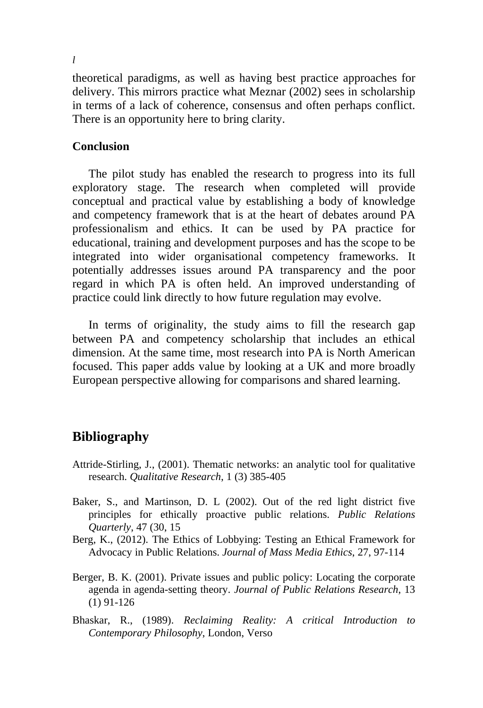theoretical paradigms, as well as having best practice approaches for delivery. This mirrors practice what Meznar (2002) sees in scholarship in terms of a lack of coherence, consensus and often perhaps conflict. There is an opportunity here to bring clarity.

# **Conclusion**

The pilot study has enabled the research to progress into its full exploratory stage. The research when completed will provide conceptual and practical value by establishing a body of knowledge and competency framework that is at the heart of debates around PA professionalism and ethics. It can be used by PA practice for educational, training and development purposes and has the scope to be integrated into wider organisational competency frameworks. It potentially addresses issues around PA transparency and the poor regard in which PA is often held. An improved understanding of practice could link directly to how future regulation may evolve.

In terms of originality, the study aims to fill the research gap between PA and competency scholarship that includes an ethical dimension. At the same time, most research into PA is North American focused. This paper adds value by looking at a UK and more broadly European perspective allowing for comparisons and shared learning.

# **Bibliography**

- Attride-Stirling, J., (2001). Thematic networks: an analytic tool for qualitative research. *Qualitative Research*, 1 (3) 385-405
- Baker, S., and Martinson, D. L (2002). Out of the red light district five principles for ethically proactive public relations. *Public Relations Quarterly*, 47 (30, 15
- Berg, K., (2012). The Ethics of Lobbying: Testing an Ethical Framework for Advocacy in Public Relations. *Journal of Mass Media Ethics*, 27, 97-114
- Berger, B. K. (2001). Private issues and public policy: Locating the corporate agenda in agenda-setting theory. *Journal of Public Relations Research*, 13 (1) 91-126
- Bhaskar, R., (1989). *Reclaiming Reality: A critical Introduction to Contemporary Philosophy*, London, Verso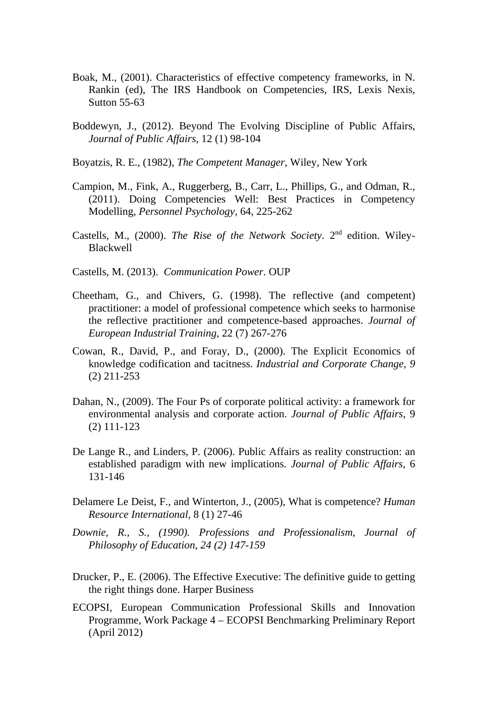- Boak, M., (2001). Characteristics of effective competency frameworks, in N. Rankin (ed), The IRS Handbook on Competencies, IRS, Lexis Nexis, Sutton 55-63
- Boddewyn, J., (2012). Beyond The Evolving Discipline of Public Affairs, *Journal of Public Affairs*, 12 (1) 98-104
- Boyatzis, R. E., (1982), *The Competent Manager*, Wiley, New York
- Campion, M., Fink, A., Ruggerberg, B., Carr, L., Phillips, G., and Odman, R., (2011). Doing Competencies Well: Best Practices in Competency Modelling, *Personnel Psychology*, 64, 225-262
- Castells, M., (2000). *The Rise of the Network Society*. 2nd edition. Wiley-Blackwell
- Castells, M. (2013). *Communication Power*. OUP
- Cheetham, G., and Chivers, G. (1998). The reflective (and competent) practitioner: a model of professional competence which seeks to harmonise the reflective practitioner and competence-based approaches. *Journal of European Industrial Training*, 22 (7) 267-276
- Cowan, R., David, P., and Foray, D., (2000). The Explicit Economics of knowledge codification and tacitness. *Industrial and Corporate Change*, *9*  (2) 211-253
- Dahan, N., (2009). The Four Ps of corporate political activity: a framework for environmental analysis and corporate action. *Journal of Public Affairs*, 9 (2) 111-123
- De Lange R., and Linders, P. (2006). Public Affairs as reality construction: an established paradigm with new implications*. Journal of Public Affairs*, 6 131-146
- Delamere Le Deist, F., and Winterton, J., (2005), What is competence? *Human Resource International,* 8 (1) 27-46
- *Downie, R., S., (1990). Professions and Professionalism, Journal of Philosophy of Education, 24 (2) 147-159*
- Drucker, P., E. (2006). The Effective Executive: The definitive guide to getting the right things done. Harper Business
- ECOPSI, European Communication Professional Skills and Innovation Programme, Work Package 4 – ECOPSI Benchmarking Preliminary Report (April 2012)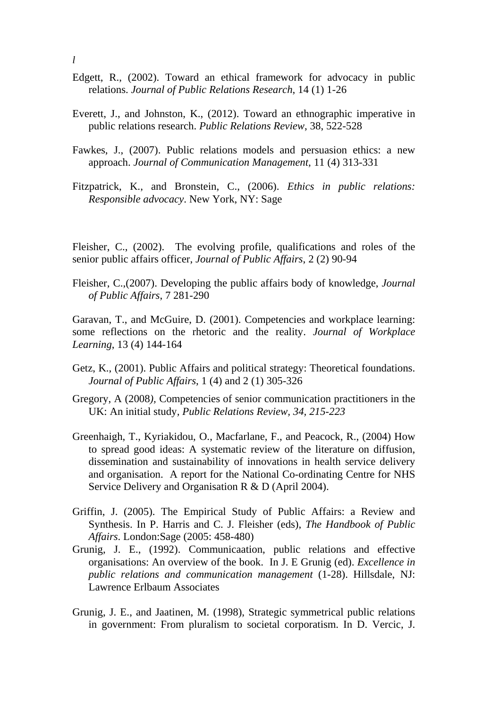- Edgett, R., (2002). Toward an ethical framework for advocacy in public relations. *Journal of Public Relations Research*, 14 (1) 1-26
- Everett, J., and Johnston, K., (2012). Toward an ethnographic imperative in public relations research. *Public Relations Review*, 38, 522-528
- Fawkes, J., (2007). Public relations models and persuasion ethics: a new approach. *Journal of Communication Management,* 11 (4) 313-331
- Fitzpatrick, K., and Bronstein, C., (2006). *Ethics in public relations: Responsible advocacy*. New York, NY: Sage

Fleisher, C., (2002). The evolving profile, qualifications and roles of the senior public affairs officer, *Journal of Public Affairs*, 2 (2) 90-94

Fleisher, C.,(2007). Developing the public affairs body of knowledge, *Journal of Public Affairs*, 7 281-290

Garavan, T., and McGuire, D. (2001). Competencies and workplace learning: some reflections on the rhetoric and the reality. *Journal of Workplace Learning*, 13 (4) 144-164

- Getz, K., (2001). Public Affairs and political strategy: Theoretical foundations. *Journal of Public Affairs*, 1 (4) and 2 (1) 305-326
- Gregory, A (2008*),* Competencies of senior communication practitioners in the UK: An initial study*, Public Relations Review, 34, 215-223*
- Greenhaigh, T., Kyriakidou, O., Macfarlane, F., and Peacock, R., (2004) How to spread good ideas: A systematic review of the literature on diffusion, dissemination and sustainability of innovations in health service delivery and organisation. A report for the National Co-ordinating Centre for NHS Service Delivery and Organisation R & D (April 2004).
- Griffin, J. (2005). The Empirical Study of Public Affairs: a Review and Synthesis. In P. Harris and C. J. Fleisher (eds), *The Handbook of Public Affairs*. London:Sage (2005: 458-480)
- Grunig, J. E., (1992). Communicaation, public relations and effective organisations: An overview of the book. In J. E Grunig (ed). *Excellence in public relations and communication management* (1-28). Hillsdale, NJ: Lawrence Erlbaum Associates
- Grunig, J. E., and Jaatinen, M. (1998), Strategic symmetrical public relations in government: From pluralism to societal corporatism. In D. Vercic, J.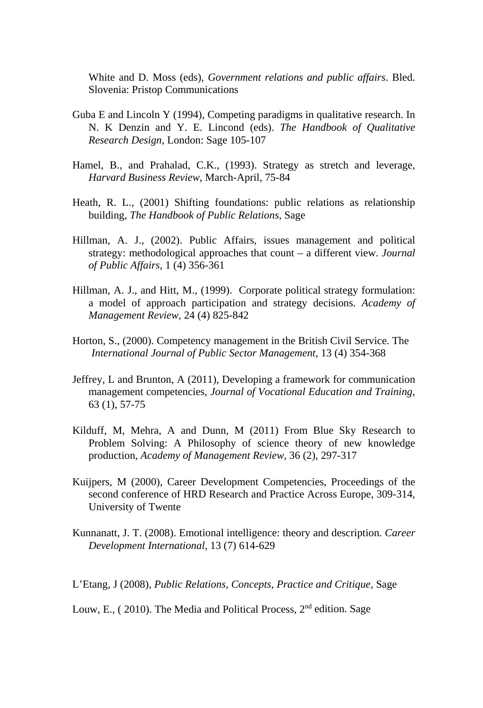White and D. Moss (eds), *Government relations and public affairs*. Bled. Slovenia: Pristop Communications

- Guba E and Lincoln Y (1994), Competing paradigms in qualitative research. In N. K Denzin and Y. E. Lincond (eds). *The Handbook of Qualitative Research Design*, London: Sage 105-107
- Hamel, B., and Prahalad, C.K., (1993). Strategy as stretch and leverage, *Harvard Business Review*, March-April, 75-84
- Heath, R. L., (2001) Shifting foundations: public relations as relationship building, *The Handbook of Public Relations,* Sage
- Hillman, A. J., (2002). Public Affairs, issues management and political strategy: methodological approaches that count – a different view. *Journal of Public Affairs*, 1 (4) 356-361
- Hillman, A. J., and Hitt, M., (1999). Corporate political strategy formulation: a model of approach participation and strategy decisions. *Academy of Management Review*, 24 (4) 825-842
- Horton, S., (2000). Competency management in the British Civil Service. The *International Journal of Public Sector Management*, 13 (4) 354-368
- Jeffrey, L and Brunton, A (2011), Developing a framework for communication management competencies*, Journal of Vocational Education and Training*, 63 (1), 57-75
- Kilduff, M, Mehra, A and Dunn, M (2011) From Blue Sky Research to Problem Solving: A Philosophy of science theory of new knowledge production, *Academy of Management Review*, 36 (2), 297-317
- Kuijpers, M (2000), Career Development Competencies, Proceedings of the second conference of HRD Research and Practice Across Europe, 309-314, University of Twente
- Kunnanatt, J. T. (2008). Emotional intelligence: theory and description. *Career Development International*, 13 (7) 614-629

L'Etang, J (2008), *Public Relations, Concepts, Practice and Critique*, Sage

Louw, E., (2010). The Media and Political Process,  $2<sup>nd</sup>$  edition. Sage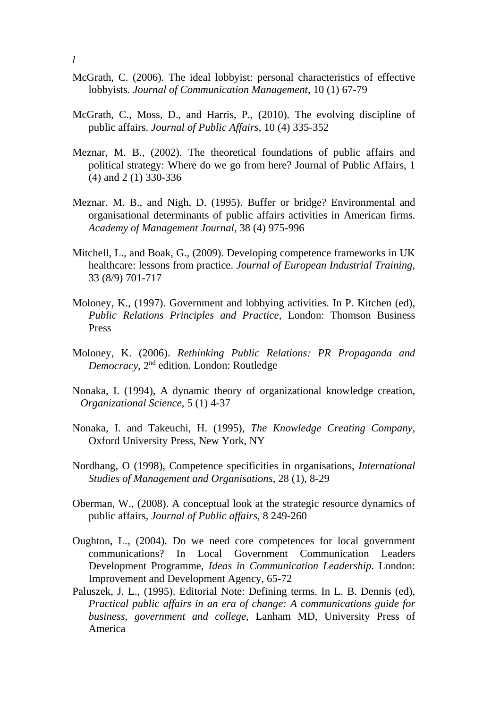- McGrath, C. (2006). The ideal lobbyist: personal characteristics of effective lobbyists. *Journal of Communication Management*, 10 (1) 67-79
- McGrath, C., Moss, D., and Harris, P., (2010). The evolving discipline of public affairs. *Journal of Public Affairs*, 10 (4) 335-352
- Meznar, M. B., (2002). The theoretical foundations of public affairs and political strategy: Where do we go from here? Journal of Public Affairs, 1 (4) and 2 (1) 330-336
- Meznar. M. B., and Nigh, D. (1995). Buffer or bridge? Environmental and organisational determinants of public affairs activities in American firms. *Academy of Management Journal*, 38 (4) 975-996
- Mitchell, L., and Boak, G., (2009). Developing competence frameworks in UK healthcare: lessons from practice. *Journal of European Industrial Training*, 33 (8/9) 701-717
- Moloney, K., (1997). Government and lobbying activities. In P. Kitchen (ed), *Public Relations Principles and Practice*, London: Thomson Business Press
- Moloney, K. (2006). *Rethinking Public Relations: PR Propaganda and Democracy*, 2nd edition. London: Routledge
- Nonaka, I. (1994), A dynamic theory of organizational knowledge creation, *Organizational Science*, 5 (1) 4-37
- Nonaka, I. and Takeuchi, H. (1995), *The Knowledge Creating Company*, Oxford University Press, New York, NY
- Nordhang, O (1998), Competence specificities in organisations, *International Studies of Management and Organisations*, 28 (1), 8-29
- Oberman, W., (2008). A conceptual look at the strategic resource dynamics of public affairs, *Journal of Public affairs*, 8 249-260
- Oughton, L., (2004). Do we need core competences for local government communications? In Local Government Communication Leaders Development Programme, *Ideas in Communication Leadership*. London: Improvement and Development Agency, 65-72
- Paluszek, J. L., (1995). Editorial Note: Defining terms. In L. B. Dennis (ed), *Practical public affairs in an era of change: A communications guide for business, government and college*, Lanham MD, University Press of America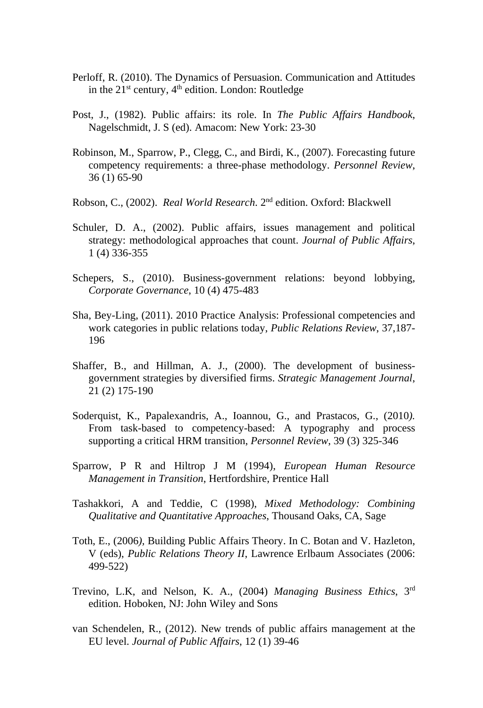- Perloff, R. (2010). The Dynamics of Persuasion. Communication and Attitudes in the 21<sup>st</sup> century, 4<sup>th</sup> edition. London: Routledge
- Post, J., (1982). Public affairs: its role. In *The Public Affairs Handbook*, Nagelschmidt, J. S (ed). Amacom: New York: 23-30
- Robinson, M., Sparrow, P., Clegg, C., and Birdi, K., (2007). Forecasting future competency requirements: a three-phase methodology. *Personnel Review*, 36 (1) 65-90
- Robson, C., (2002). *Real World Research*. 2nd edition. Oxford: Blackwell
- Schuler, D. A., (2002). Public affairs, issues management and political strategy: methodological approaches that count. *Journal of Public Affairs*, 1 (4) 336-355
- Schepers, S., (2010). Business-government relations: beyond lobbying, *Corporate Governance*, 10 (4) 475-483
- Sha, Bey-Ling, (2011). 2010 Practice Analysis: Professional competencies and work categories in public relations today, *Public Relations Review*, 37,187- 196
- Shaffer, B., and Hillman, A. J., (2000). The development of businessgovernment strategies by diversified firms. *Strategic Management Journal*, 21 (2) 175-190
- Soderquist, K., Papalexandris, A., Ioannou, G., and Prastacos, G., (2010*).*  From task-based to competency-based: A typography and process supporting a critical HRM transition, *Personnel Review*, 39 (3) 325-346
- Sparrow, P R and Hiltrop J M (1994), *European Human Resource Management in Transition*, Hertfordshire, Prentice Hall
- Tashakkori, A and Teddie, C (1998), *Mixed Methodology: Combining Qualitative and Quantitative Approaches*, Thousand Oaks, CA, Sage
- Toth, E., (2006*),* Building Public Affairs Theory. In C. Botan and V. Hazleton, V (eds), *Public Relations Theory II*, Lawrence Erlbaum Associates (2006: 499-522)
- Trevino, L.K, and Nelson, K. A., (2004) *Managing Business Ethics*, 3rd edition. Hoboken, NJ: John Wiley and Sons
- van Schendelen, R., (2012). New trends of public affairs management at the EU level. *Journal of Public Affairs*, 12 (1) 39-46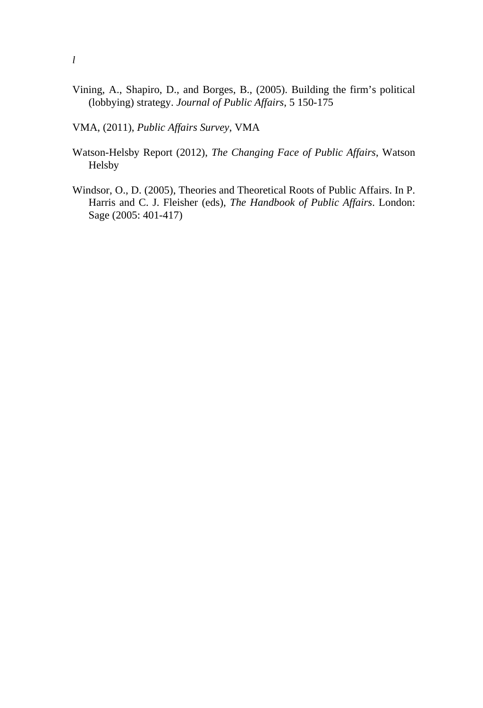Vining, A., Shapiro, D., and Borges, B., (2005). Building the firm's political (lobbying) strategy. *Journal of Public Affairs*, 5 150-175

VMA, (2011), *Public Affairs Survey*, VMA

- Watson-Helsby Report (2012), *The Changing Face of Public Affairs*, Watson Helsby
- Windsor, O., D. (2005), Theories and Theoretical Roots of Public Affairs. In P. Harris and C. J. Fleisher (eds), *The Handbook of Public Affairs*. London: Sage (2005: 401-417)